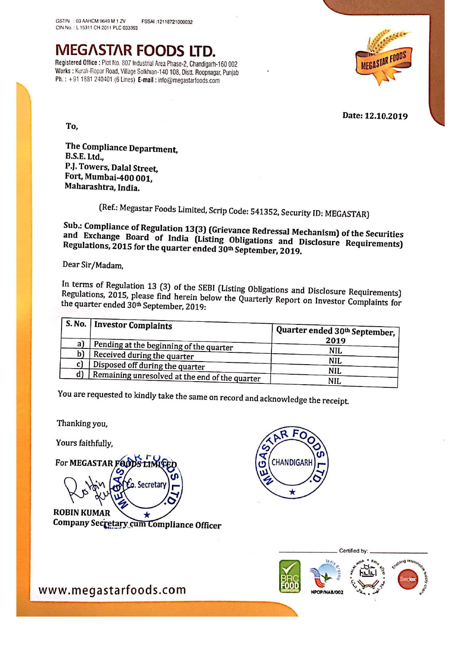## MEGASTAR FOODS LTD.<br>Registered Office : Plot No. 807 Industrial Area Phase-2, Chandigarh-160 002

Works : Kurali-Ropar Road, Village Solkhian-140 108, Distt. Roopnagar, Punjab Ph. : +91 <sup>1881</sup> 240401 (6 Lines) E-mail : info@megasiarioods.com



Date: 12.10.2019

To,

The Compliance Department, B.S.E. Ltd.. PJ. Towers, Dalal Street, Fort, Mumbai-400 001, Maharashtra, India.

(Ref.: Megastar Foods Limited, Scrip Code: 541352, Security ID: MEGASTAR)<br>Sub.: Compliance of Regulation 13(3) (Grievance Redressal Mechanism) of the Securities and Sub.: Compliance of Regulation 13(3) (Grievance Redressal Mechanism) of the Securities<br>and Exchange Board of India (Listing Obligations and Disclosure Requirements)<br>Regulations, 2015 for the quarter ended 30th September, 2

Dear Sir/Madam,

In terms of Regulation 13 (3) of the SEBI (Listing Obligations and Disclosure Requirements)<br>Regulations, 2015, please find herein below the Quanturly P Regulations, 2015, please find herein below the Quarterly Report on Investor Complaints for<br>the quarter ended 30<sup>th</sup> September 2019. the quarter ended 30<sup>th</sup> September, 2019:

|     | <b>S. No.   Investor Complaints</b>            | Quarter ended 30th September, |  |
|-----|------------------------------------------------|-------------------------------|--|
| a)  | Pending at the beginning of the quarter        | 2019                          |  |
| b)  | Received during the quarter                    | NIL                           |  |
| C I | Disposed off during the quarter                | NIL                           |  |
| d)  | Remaining unresolved at the end of the quarter | <b>NIL</b>                    |  |
|     |                                                | <b>NIL</b>                    |  |

You are requested to kindly take the same on record and acknowledge the receipt.

Thanking you,

Yours faithfully,

For MEGASTAR FOODS LIMIT o. Secretar **ROBIN KUMAR** ★ Company Secretary cum Compliance Officer





WWW.megastarfoods.com New WWW.megastarfoods.com